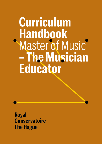**Curriculum Handbook**<br>Master of Music - The Musician **Educator** 

Royal **Conservatoire The Hague**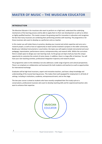# **MASTER OF MUSIC – THE MUSICIAN EDUCATOR**

### **INTRODUCTION**

*The Musician Educator* is for musicians who want to perform on a high level, understand the underlying mechanisms of the learning process and be able to apply them to their own development as well as to others as highly qualified teachers. This master answers the growing need for innovation in education and recognises the fact that many musicians are combining their performing activities with teaching. The programme is for those musicians who want to develop as a performer and as a teacher.

In this master you will relate theory to practice, develop your musical and artistic expertise and carry out a research project, as well as have an opportunity to teach and be involved in projects in the wider community. Beside your individual instrumental or vocal tuition, the topics you will explore include instrumental and vocal pedagogy, improvisation, performance science, entrepreneurship, and research skills. Within the curriculum there is ample space to design your own learning route. As the groups are kept small you have the unique opportunity to customise the content of some classes. In addition, there is a large offer of electives. You will have your own teaching activities, professional integration trajectory and research project.

The programme caters to the individual, but also addresses a wide range of genres and cultural perspectives. There is an emphasis on collaboration and teamwork (for both students and teachers) as well as opportunities for international exchange.

Graduates will be high-level musicians, expert and innovative teachers, and have a deep knowledge and understanding of the musical learning process. This makes them well equipped for employment in all kinds of settings, including in institutions, academia, entrepreneurial work, and on the stage.

The two-year course is aimed at students who have recently completed their first study cycle at a conservatoire, professional musicians who want to develop teaching skills and for experienced teachers who want to enhance their expertise.

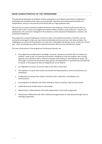### **MAIN CHARACTERISTICS OF THE PROGRAMME**

The educational philosophy of all Master of Music programmes at the Royal Conservatoire is dedicated to developing your individual artistic vision, personal growth, inquisitive and entrepreneurial attitude and independence, and your instrumental and technical skills at a high qualitative level.

We strive for our alumni to become excellent performers and composers, and also professionals who can reflect on their role in society and navigate the complex realities of today's music profession. To guide your development, the curriculum is designed in three domains: artistic educational development, research, and professional integration.

The programme is aimed at helping you to find your place in the professional practice. Therefore, you are constantly encouraged to make your own choices and develop and carry out your own ideas and plans. We challenge you to connect all three domains in a way that is meaningful and relevant to you, so that you can find your 'niche' and prepare yourself for the professional practice after you have finished your studies.

The main characteristics of the programme The Musician Educator are:

- The programme provides expert knowledge, resources, experiences and tools with an emphasis on students' needs as well. The learning environment is designed to invite the students' own curiosity, ingenuity and creativity as well as enhance autonomy and a feeling of connectedness to others. We encourage a crossover of instrumental types, genres, and departments. In particular the Learning Pods are spaces in the programme that are designed and run by students.
- An integrated curriculum: all courses relate to and refer to each other.
- The emphasis is on (your own) artistic and musical learning processes as artistry and education are intertwined.
- An approach consisting of four phases: identity & vision, exploration, consolidation and communication.
- Encouragement of reflection and critical thinking as means to develop, improve and innovate.
- Collaborative work of both teachers and students.
- Opportunities to follow electives from other departments in the master programme.
- International collaboration with other institutes and opportunities to study abroad through Erasmus exchange programmes.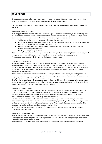# **FOUR PHASES**

The curriculum is designed around the principle of the spiralic nature of the learning process – in both the general structure as well as within courses and individual learning experiences.

Each academic year consists of two semesters. The spiral of learning is reflected in the themes of these four semesters.

### Semester 1: IDENTITY & VISION

A starting point to development is to 'know yourself'. A good foundation for the study includes self-regulation theory and application as well as workshops on self-assessment. You can explore questions about your own qualities and characteristics as well as 'the musician and teacher you want to be', by:

- Writing and coding your own autobiography of musical learning;
- Collecting, sharing and discussing examples of inspiring musicians, performances and music as well as theoretical concepts on performing and teaching music;
- Develop an understanding of how (your own) expertise is being developed by integrating own experiences, theory and practices;
- Working on long term goals & vision.

At the end of this semester, you have a good idea of their own qualities, their strengths and weaknesses, what is important to you, what inspires you about music and what is important to develop right now. From this standpoint you can decide upon or clarify their research topic.

### Semester 2: EXPLORATION

The second phase of the learning process involves having space for exploring skill development, musical expression and teaching. Modules in teaching and performing strategies, practicing and improvisation are based on how to apply theory to your own practice. The tools and insights from the first semester provide the possibility for each student to design a framework that enables effective explorative practices of both performance and teaching.

This exploration is also concerned with the further development of the research project: finding and reading literature, exploratory observations and pre-studies and designing suitable methodologies. In this semester a variety of electives will be offered that can be chosen from.

The Royal Conservatoire stimulates students to study abroad as this can help to broaden horizons and expand personal and professional networks. In the frame of Erasmus programmes, students can apply as an exchange student and study for a period at one of our partner institutions.

### Semester 3: CONSOLIDATION

In the third phase connections are being made and patterns are being recognised. The final outcomes of your goals become clearer and adjustments can be made so that your goals and intentions for their master trajectory can be steered towards a realistic outcome. The connection between theory and your own experience as well as observations and insights can be understood.

Practical modules include modules that further enhance teaching approaches and strategies and their application into practice. Also, practicing performance and applying knowledge about performance preparation and performance anxiety will be addressed in this semester. These practical courses encompass a teaching placement as well as performing and other educational activities.

The focus in the research is in bringing your information together, finding order, adjusting, correcting, reviewing and documenting.

### Semester 4: COMMUNICATION

The last phase is focussed on presenting outcomes and reflecting not only on the results, but also on the entire learning process; connecting with the original goals from the first semester and taking an eagle eye view on what happened and what was learned.

The emphasis is on sharing, performing and presenting – artistically, as a teacher and as a researcher.

4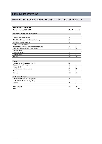# **CURRICULUM OVERVIEW**

# **CURRICULUM OVERVIEW MASTER OF MUSIC – THE MUSICIAN EDUCATOR**

| <b>The Musician Educator</b>                  |                |                   |
|-----------------------------------------------|----------------|-------------------|
| <b>Master of Music 2022 - 2023</b>            | Year 1         | Year <sub>2</sub> |
|                                               |                |                   |
| <b>Artistic and Pedagogical Development</b>   |                |                   |
|                                               |                |                   |
| Personal values and beliefs                   | $\overline{2}$ |                   |
| Principles of musical learning and teaching   | 3              |                   |
| Science of musical learning                   | 5              |                   |
| Creativity and expression                     |                | 3                 |
| Teaching and Learning strategies & approaches | 4              | 4                 |
| Individual Instrumental or Vocal Tuition      | 14             | 14                |
| Improvisation                                 |                | 3                 |
| Leading & Guiding                             | 3              |                   |
| <b>Learning Pods</b>                          | 4              | 4                 |
| <b>Subtotal</b>                               | 35             | 28                |
|                                               |                |                   |
| <b>Research</b>                               |                |                   |
| Introduction to Research in the Arts          | $\overline{2}$ |                   |
| Research in Music Education                   | $\overline{2}$ | $\overline{2}$    |
| <b>Master Circle</b>                          | 3              | 3                 |
| Individual Research Trajectory                | 8              | 15                |
| Elective                                      | $\overline{3}$ | 3                 |
| Subtotal                                      | 18             | 23                |
|                                               |                |                   |
| <b>Professional Integration</b>               |                |                   |
| Introduction to Project Management            | $\overline{2}$ |                   |
| Professional Integration Trajectory           | 5              | 9                 |
| Subtotal                                      | $\overline{z}$ | 9                 |
| Total per year                                | 60             | 60                |
| Total                                         |                | 120               |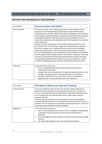# **COURSE DESCRIPTIONS MASTER OF MUSIC – THE MUSICIAN EDUCATOR**

## **ARTISTIC AND PEDAGOGICAL DEVELOPMENT**

| Course title:   | <b>Personal values and beliefs</b>                                                                                                                                                                                                                                                                                                                                                                                                                                                                                                                                                                                                                                                                                                                                                                                                                                                                                                                                                                                                                                                                                                                                                                                            |
|-----------------|-------------------------------------------------------------------------------------------------------------------------------------------------------------------------------------------------------------------------------------------------------------------------------------------------------------------------------------------------------------------------------------------------------------------------------------------------------------------------------------------------------------------------------------------------------------------------------------------------------------------------------------------------------------------------------------------------------------------------------------------------------------------------------------------------------------------------------------------------------------------------------------------------------------------------------------------------------------------------------------------------------------------------------------------------------------------------------------------------------------------------------------------------------------------------------------------------------------------------------|
| Course content: | This course sets the main starting points of the master programme: the<br>importance of self-determination and professional self-understanding.<br>According to Deci and Ryan (2018), three basic psychological needs motivate<br>human beings to initiate behaviour and specify essential needs for individual<br>psychological health and well-being. These basic psychological needs are<br>autonomy, competence, and relatedness and their implications for education<br>will be addressed.<br>Another, related, starting point is that teachers perform their job on the<br>basis of both more or less formal insights and understandings as derived<br>from their training or e.g., reading and their personal values and beliefs.<br>Values and beliefs refer to more person-based, idiosyncratic convictions,<br>built up through different career experiences during a lifetime and therefore<br>they are deeply rooted in what teachers think and do. During this course the<br>concepts of professional identity and educational theory will be discussed.<br>You will explore, identify and exchange your personal experiences, values<br>and beliefs regarding your own learning, teaching and performing music. |
| Objectives:     | At the end of the course, you:<br>have an understanding of the self-determination theory and its<br>п<br>implication for education;<br>recognise the role and importance of subjective educational theory, the<br>٠<br>concept of professional self-understanding and how they relate;<br>are able to identity what your motivation, values and beliefs are<br>٠<br>regarding music, musical practices and music education.                                                                                                                                                                                                                                                                                                                                                                                                                                                                                                                                                                                                                                                                                                                                                                                                   |

| Course title:   | <b>Principles of Music Learning and Teaching</b>                                                                                                                                                                                                                                                                                                                                                                                                                                                                                                                                                                           |
|-----------------|----------------------------------------------------------------------------------------------------------------------------------------------------------------------------------------------------------------------------------------------------------------------------------------------------------------------------------------------------------------------------------------------------------------------------------------------------------------------------------------------------------------------------------------------------------------------------------------------------------------------------|
| Course content: | This course addresses some of the main concepts of music education in<br>general and instrumental and vocal education in particular. It focuses on<br>various conceptual and practical approaches to learning and teaching music<br>and its implications and examines what factors make a given learning<br>approach effective.<br>A wide range of perspectives on instrumental and vocal learning will be<br>presented and discussed such as learning theories, development of musical<br>expertise, the role and nature of practicing, musical performance, one-to-one<br>teaching, group teaching and ensemble playing. |
| Objectives:     | At the end of the course, you:<br>have an understanding of the variety of aims, strategies and approaches<br>in education in general and vocal and instrumental education in<br>particular;<br>have knowledge and understanding of concepts of learning and learning<br>٠<br>theories;<br>can relate these insights to your own learning and teaching.<br>٠                                                                                                                                                                                                                                                                |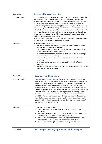| Course title:   | <b>Science of Musical Learning</b>                                                                                                                                                                                                                                                                                                                                                                                                                                                                                                                                                                                                                                                                                                                                                                                                                                                                                                |
|-----------------|-----------------------------------------------------------------------------------------------------------------------------------------------------------------------------------------------------------------------------------------------------------------------------------------------------------------------------------------------------------------------------------------------------------------------------------------------------------------------------------------------------------------------------------------------------------------------------------------------------------------------------------------------------------------------------------------------------------------------------------------------------------------------------------------------------------------------------------------------------------------------------------------------------------------------------------|
| Course content: | This course focuses on specific characteristics of musical learning. During the<br>first part the context of musical learning topics like potential and talent,<br>environmental influences and characteristics of age and steering of learning<br>and development will be discussed. The course will focus on three main<br>musical learning topics: motor learning (skill acquisition, the role of our body<br>(embodied cognition) and practising. The latter will be addressed more<br>extensively as practising is one of the main learning activities of musicians. The<br>aim of teaching and coaching musicians how to practice is that they will be<br>able to work with goals, are confident and intrinsically motivated and take an<br>exploratory approach to music making.<br>Besides theoretical perspectives, the implications and applications for learning<br>and teaching music will be explored and discussed. |
| Objectives:     | At the end of the course, you:<br>are able to comprehend literature concerned with theories of musical<br>learning and can explain the essentials;<br>can identify and explain ways skill acquisition and embodied learning in<br>٠<br>concrete learning and teaching situations;<br>know how to use and develop effective strategies of musical learning in<br>٠<br>your own learning and teaching;<br>have knowledge of methods and strategies that are important for<br>٠<br>practising;<br>have experienced your own way of explorative and self-reflective<br>٠<br>practising;<br>are able to apply methods and strategies that include exploration and self-<br>reflection in a teaching context.                                                                                                                                                                                                                           |

| Course title:   | <b>Creativity and Expression</b>                                                                                                                                                                                                                                                                                                                                                                                                                                                                                                                                                                                                                                                                                                                                                                                                                                                                                    |
|-----------------|---------------------------------------------------------------------------------------------------------------------------------------------------------------------------------------------------------------------------------------------------------------------------------------------------------------------------------------------------------------------------------------------------------------------------------------------------------------------------------------------------------------------------------------------------------------------------------------------------------------------------------------------------------------------------------------------------------------------------------------------------------------------------------------------------------------------------------------------------------------------------------------------------------------------|
| Course content: | Creativity and expression are essential skills and important outcomes of<br>musical learning. Both concepts are bedevilled by several assumptions: that<br>we in principle can learn about creativity by focussing exclusively on the<br>performance of talented or expert musicians, that creativity is a gift and<br>cannot be trained, or that skills and knowledge need to be developed first.<br>Current insights however show different views and perspectives. This course<br>follows from the Science of Music Learning course by exploring in more<br>depth how focus on musical intention can affect performance and skill<br>acquisition. Concepts of musical creativity and expression will be addressed<br>from the individual and group musical practice perspectives. Additionally,<br>attention will be drawn to strategies for development and assessment of<br>musical expression and creativity. |
| Objectives:     | At the end of the course, you:<br>have knowledge and understanding of concepts of creativity and<br>expression;<br>are able to experience and trust focus on expression and creativity not<br>٠<br>only during performance but also whilst practicing;<br>have an understanding of the aims, strategies and approaches in music<br>٠<br>education that provoke, stimulate and develop both skills;<br>can apply these concepts in your own learning and teaching.<br>٠                                                                                                                                                                                                                                                                                                                                                                                                                                              |

| Teaching & Learning Approaches and Strategies<br>Course title: |  |
|----------------------------------------------------------------|--|
|----------------------------------------------------------------|--|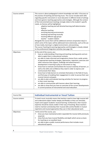| Course content: | This course is about pedagogical content knowledge and skills. It focusses on<br>the practice of teaching and learning music. The course includes both skills<br>regarding specific instrument or vocal education in different kinds of settings<br>and more generic teaching approaches and strategies. Although the content<br>of the instrumental/vocal meetings strongly relate to the student's specific<br>needs, six themes will be highlighted:<br>adaptive teaching and self-directed learning (self-determination<br>theory)<br>effective teaching<br>$\overline{\phantom{a}}$<br>enriching learning environments<br>$\overline{\phantom{a}}$<br>teaching and learning musically<br>$\overline{\phantom{a}}$<br>teaching different age groups<br>$\overline{\phantom{a}}$<br>teacher - student relation<br>Alongside the course there will be additional seminars (inspiration days) in<br>which some of the topics will be addressed more extensively, such as the use<br>of new media, learning in a digital environment, and practising.<br>The course Teaching & Learning Approaches and Strategies is closely related<br>to the professional integration activities (see page 14). |
|-----------------|---------------------------------------------------------------------------------------------------------------------------------------------------------------------------------------------------------------------------------------------------------------------------------------------------------------------------------------------------------------------------------------------------------------------------------------------------------------------------------------------------------------------------------------------------------------------------------------------------------------------------------------------------------------------------------------------------------------------------------------------------------------------------------------------------------------------------------------------------------------------------------------------------------------------------------------------------------------------------------------------------------------------------------------------------------------------------------------------------------------------------------------------------------------------------------------------------|
| Objectives:     | At the end of the course, you:<br>have an understanding of learning and teaching starting points and are<br>able to apply them in educational contexts;<br>are able to make informed and imaginative choices from a wide variety<br>٠<br>of appropriate teaching strategies, approaches, repertoire, exercises and<br>other resources that support, challenge and extend learner's<br>development in learning to play an instrument or sing;<br>know how to motivate and facilitate the musical creativity of learners, as<br>٠<br>well as the skills and confidence they need in order to express and<br>communicate their ideas;<br>know how to help learners to orientate themselves in the field of music,<br>٠<br>and find ways of enabling their engagement in order to pursue their own<br>musical interest and goals;<br>are able to plan and evaluate learning activities for learners to progress<br>٠<br>in their music learning;<br>are able to communicate with learners about their learning;<br>٠<br>are able to show that you have an overview of the current developments<br>Ξ<br>in current practices of instrumental and vocal education.                                      |

| Course title:   | <b>Individual Instrumental or Vocal Tuition</b>                                                                                                                                                                                                                                                                                                                                                                                                                                 |
|-----------------|---------------------------------------------------------------------------------------------------------------------------------------------------------------------------------------------------------------------------------------------------------------------------------------------------------------------------------------------------------------------------------------------------------------------------------------------------------------------------------|
| Course content: | To teach music musically means that teachers need to have high musical skill<br>and understand subject matter deeply and flexibly so they can stimulate,<br>inspire and support students' musical learning. Furthermore, their musical<br>expertise should be clearly visible in their way of teaching. Music teachers<br>need to maintain and develop their musical skills and be flexible in musical<br>repertoire and musical approaches they use in their educational work. |
| Objectives:     | At the end of the course, you:<br>show you have maintained and/or expanded the musical skills previously<br>acquired;<br>show that you have musical flexibility and depth which serves as basis<br>٠<br>for teaching on an excellent level;<br>are able to give a public musical performance that includes music<br>٠<br>educational aspects.                                                                                                                                   |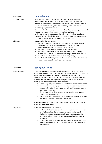| Course title:   | <b>Improvisation</b>                                                                                                                                                                                                                                                                                                                                                                                                                                                                                                                                                                                                                                                                                        |
|-----------------|-------------------------------------------------------------------------------------------------------------------------------------------------------------------------------------------------------------------------------------------------------------------------------------------------------------------------------------------------------------------------------------------------------------------------------------------------------------------------------------------------------------------------------------------------------------------------------------------------------------------------------------------------------------------------------------------------------------|
| Course content: | Many musical traditions value creative music making in the form of<br>improvisation. Being able to improvise is having a positive effect on a<br>number of aspects of the learner's musical development. It contributes to<br>the musical understanding, develops autonomy, motivates, and is<br>broadening ways of music making.<br>The course develops your own creative skills and attitude but gives also tools<br>for applying improvisation in music educational settings.<br>In this course you will develop musical skills that will help to be a flexible<br>teacher. For example, playing a countermelody or baseline, improvising a<br>response to what a child plays, composing exercises, etc. |
| Objectives:     | At the end of the course, you:<br>are able to present the result of the process by composing a small<br>framework for the participating musicians in which as many<br>improvisational aspects as possible can be exposed;<br>are able to create compositions for educational settings;<br>٠<br>are able to show flexibility and creativity in rearranging existing<br>٠<br>compositions according to the musical setting in different situations;<br>are able to handle and deal with 'instant composing';<br>٠<br>can deal with the basic principles of modal improvisation, fundamental<br>٠<br>harmonic improvisation and free improvisation.                                                            |

| Course title:   | <b>Leading &amp; Guiding</b>                                                                                                                                                                                                                                                                                                                                                                                                                                                                                                                                                                                                                                                                                                                                                                                                                                                                                                                                                                       |
|-----------------|----------------------------------------------------------------------------------------------------------------------------------------------------------------------------------------------------------------------------------------------------------------------------------------------------------------------------------------------------------------------------------------------------------------------------------------------------------------------------------------------------------------------------------------------------------------------------------------------------------------------------------------------------------------------------------------------------------------------------------------------------------------------------------------------------------------------------------------------------------------------------------------------------------------------------------------------------------------------------------------------------|
| Course content: | This course introduces skills and knowledge necessary to be a competent<br>workshop/laboratory practitioner and creative leader. It gives the student the<br>opportunity as an ensemble member to explore the combined role of<br>composer, leader and performer within a creative, participatory workshop<br>environment. The student is expected to engage convincingly in all the<br>following activities as a professional practitioner:<br>Voice, body and percussion work; coordination and communication;<br>Improvisation as a group, generic activity; developing your own<br>musical voice within the group; organically building on the ideas of<br>peer group members;<br>Group composition skills; conceiving and creating ideas within a<br>collaborative environment;<br>The psychology of leadership; the different levels of facilitating and<br>٠<br>guiding within a team; leading and being led.<br>At the end of the term, a peer-assessment will take place with your fellow |
|                 | students in laboratory sessions.                                                                                                                                                                                                                                                                                                                                                                                                                                                                                                                                                                                                                                                                                                                                                                                                                                                                                                                                                                   |
| Objectives:     | At the end of this course, you are able:<br>to demonstrate an understanding of and capacity for music-based<br>activity in a variety of ensemble performance contexts and in<br>facilitating group creative work both within exclusively musical<br>contexts and in various cross-arts, intercultural and community<br>situations;<br>to demonstrate skills of leadership in relation to the facilitation of<br>٠<br>ensemble and/or group participation in specialist and non-specialist<br>environments;                                                                                                                                                                                                                                                                                                                                                                                                                                                                                         |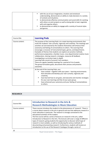| with the use of your imagination, intuition and emotional<br>$\blacksquare$<br>understanding, demonstrate an ability to make decisions in a variety<br>of contexts and situations;<br>to demonstrate effective communication and social skills for working<br>with others on joint projects as well as being able to lead, negotiate<br>with and organise others;<br>to demonstrate an ability to engage with a variety of musical styles<br>п. |
|-------------------------------------------------------------------------------------------------------------------------------------------------------------------------------------------------------------------------------------------------------------------------------------------------------------------------------------------------------------------------------------------------------------------------------------------------|
| and genres.                                                                                                                                                                                                                                                                                                                                                                                                                                     |

| Course title:   | <b>Learning Pods</b>                                                                                                                                                                                                                                                                                                                                                                                                                                                                                                                                                                                                                                                                                                                                                                                                                                                |
|-----------------|---------------------------------------------------------------------------------------------------------------------------------------------------------------------------------------------------------------------------------------------------------------------------------------------------------------------------------------------------------------------------------------------------------------------------------------------------------------------------------------------------------------------------------------------------------------------------------------------------------------------------------------------------------------------------------------------------------------------------------------------------------------------------------------------------------------------------------------------------------------------|
| Course content: | The purpose of the Learning Pods is to create learning environments that<br>invite the students' own curiosity, ingenuity and creativity. The meetings and<br>activities set and steered by the students themselves will enhance their<br>autonomy and feeling of connectedness to others. The Learning Pods<br>encourage a crossover of instrumental types, genres, and departments.<br>Examples of themes that students can explore are practice methods,<br>performance preparation, chamber music, cross departmental creative music<br>collaboration, sharing research, strategies, resources & feedback,<br>investigating a curriculum topic in-depth<br>Learning Pods consist of around 3 to5 members.<br>There are regular (weekly) meetings for a period of 4 to 6 weeks.<br>The group formulates goals, documents their process and presents<br>outcomes. |
| Objectives:     | At the end of the Learning Pods, you:<br>have created - together with your peers - learning environments<br>٠<br>that stimulate and develop your own curiosity, ingenuity and<br>creativity;<br>have learned how to set goals, and executive and monitor strategies<br>٠<br>for your own learning and that of your peer group;<br>have enhanced your autonomy and your feeling of connectedness<br>٠<br>to others.                                                                                                                                                                                                                                                                                                                                                                                                                                                  |

# **RESEARCH**

| Course title:   | <b>Introduction to Research in the Arts &amp;</b><br><b>Research Methodologies in Music Education</b>                                                                                                                                                                                                                                                                                                                                                                                                                                                                                                                                                                                                                                                                              |
|-----------------|------------------------------------------------------------------------------------------------------------------------------------------------------------------------------------------------------------------------------------------------------------------------------------------------------------------------------------------------------------------------------------------------------------------------------------------------------------------------------------------------------------------------------------------------------------------------------------------------------------------------------------------------------------------------------------------------------------------------------------------------------------------------------------|
| Course content: | These courses introduce the student to the phenomenon of 'research'. There is<br>a course about research in the arts in general and one that addresses research in<br>music education in particular. The research is strongly connected to the<br>educational activities of the student.<br>The first course will be a series of lectures on research in the arts, called<br>Introduction to Research in the Arts. The lectures will cover a range of different<br>types of research, giving students the opportunity to discover which type of<br>research is most suitable, as well as introducing the various methods of<br>documenting and presenting research. Furthermore, students will receive an<br>introduction to the use of the Research Catalogue through a series of |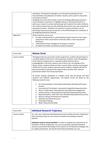|             | workshops. The Research Catalogue is an international database for the<br>documentation and publication of artistic research, and is used it to document<br>and present research.<br>Alongside this course there will be a series of meetings addressing research in<br>music education in particular. A highlight will be an international seminar in<br>which your research is shared and discussed with students from other institutes.<br>The research project that you will undertake derives from your own musical and<br>educational practice. Therefore, the research is practice-oriented, e.g., by<br>describing musical processes of learners or the skill development as educator or<br>by designing educational material. |
|-------------|----------------------------------------------------------------------------------------------------------------------------------------------------------------------------------------------------------------------------------------------------------------------------------------------------------------------------------------------------------------------------------------------------------------------------------------------------------------------------------------------------------------------------------------------------------------------------------------------------------------------------------------------------------------------------------------------------------------------------------------|
| Objectives: | At the end of the course, you:<br>are able to demonstrate an understanding of what research in the master<br>programme of the conservatoire comprises within a music educational<br>dimension;<br>understand the basic strategies of carrying out research;<br>٠<br>are able to formulate a preliminary research proposal.                                                                                                                                                                                                                                                                                                                                                                                                             |

| Course title:   | <b>Master Circle</b>                                                                                                                                                                                                                                                                                                                                                                                                                                                                                                                                                                                                                                                                                          |
|-----------------|---------------------------------------------------------------------------------------------------------------------------------------------------------------------------------------------------------------------------------------------------------------------------------------------------------------------------------------------------------------------------------------------------------------------------------------------------------------------------------------------------------------------------------------------------------------------------------------------------------------------------------------------------------------------------------------------------------------|
| Course content: | Throughout the two years of the master programme, students will participate in<br>a monthly Master Circle of first- and second-year students, under the guidance<br>of the Head of a Department or a specially invited chairman who is<br>knowledgeable in the focus research area of that circle. At meetings of the<br>Master Circles, students will discuss their research ideas, activities and progress<br>of both the first-year students and second-year students. Students will also be<br>given presentation training and the opportunity to practice their research<br>presentation before their final presentation.<br>All master students participate in a Master Circle and the groups will have |
|                 | students from different departments. The Master Circles are based on the<br>following research areas:                                                                                                                                                                                                                                                                                                                                                                                                                                                                                                                                                                                                         |
|                 | Art of Interpretation: historically/contextually informed performance<br>1.<br>practice<br>Instruments & Techniques: instrumental design/techniques/acoustics<br>2.<br>Music in Public Space: diversity/interculturality/social engagement<br>3.<br>Creative Practice: improvisation/composition/experimental practice<br>4.<br>Beyond Discipline: multi-inter-trans-disciplinarity/collaborative practice<br>5.<br>Musical Training, Performance & Cognition<br>6.<br>Aesthetics & Cultural Discourse<br>7.<br><b>Educational Settings</b><br>8.<br>Music Theory & Aural Skills<br>9.                                                                                                                        |

| Course title:   | <b>Individual Research Trajectory</b>                                                                                                                                                                                                                                                                                                                                                                                                                                                                        |
|-----------------|--------------------------------------------------------------------------------------------------------------------------------------------------------------------------------------------------------------------------------------------------------------------------------------------------------------------------------------------------------------------------------------------------------------------------------------------------------------------------------------------------------------|
| Course content: | As a rule, your artistic/musical/educational practice will be the point of departure<br>when choosing a topic for your research and when formulating a research<br>question.<br>Individual research and presentation: In order to complete the requirements of<br>the Master of Music programme, you must successfully undertake individual<br>research, and present the findings of this research on the Research Catalogue and<br>in a public presentation. The format of the final presentation can vary. |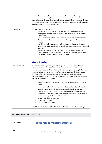|             | Individual supervision: The curriculum provides that you will have a personal<br>research supervisor throughout the two years of your studies. You will be<br>assigned a research supervisor, who will be knowledgeable in your research area.<br>Both you and your supervisor use the online Research Catalogue as collaborative<br>workspace (www.researchcatalogue.net).                                                                                                                                                                                                                                                                                                                                                                     |
|-------------|-------------------------------------------------------------------------------------------------------------------------------------------------------------------------------------------------------------------------------------------------------------------------------------------------------------------------------------------------------------------------------------------------------------------------------------------------------------------------------------------------------------------------------------------------------------------------------------------------------------------------------------------------------------------------------------------------------------------------------------------------|
| Objectives: | At the end of the course, you:<br>are able to formulate a clear research question, focus or problem,<br>٠<br>leading to relevant outcomes for your own practice as well as for the<br>artistic field;<br>are aware of what others have done in this area and are able to relate<br>the research to the field of inquiry, with due regard to the correct use of<br>sources;<br>are able to apply research methods adequate to the research focus,<br>٠<br>questions or problems, based on a dialogue between artistic practice and<br>reflection;<br>are able to apply a form of documentation and presentation that<br>supports the aims and objectives of the research, making use of both<br>verbal/textual and non-verbal artistic material. |

|                 | <b>Master Elective</b>                                                                                                                                                                                                                                                                                                                                                                                                                                                                                                                           |
|-----------------|--------------------------------------------------------------------------------------------------------------------------------------------------------------------------------------------------------------------------------------------------------------------------------------------------------------------------------------------------------------------------------------------------------------------------------------------------------------------------------------------------------------------------------------------------|
| Course content: | The Master Electives provide you with insight into a specific musical subject or<br>practical skill, with a focus on relevant research literature or other source<br>materials and the use of different research methodologies. Not only is there an<br>opportunity to take part in one of the Royal Conservatoire's electives, you may<br>also choose from a range of courses available at Leiden University. You are<br>encouraged to select an elective that is connected to your chosen research area.<br>The research areas are as follows: |
|                 | Art of Interpretation: historically/contextually informed performance<br>1.<br>practice                                                                                                                                                                                                                                                                                                                                                                                                                                                          |
|                 | Instruments & Techniques: instrumental design/techniques/acoustics<br>2.                                                                                                                                                                                                                                                                                                                                                                                                                                                                         |
|                 | Music in Public Space: diversity/interculturality/social engagement<br>3.                                                                                                                                                                                                                                                                                                                                                                                                                                                                        |
|                 | Creative Practice: improvisation/composition/experimental practice<br>4.                                                                                                                                                                                                                                                                                                                                                                                                                                                                         |
|                 | 5.<br>Beyond Discipline: multi-inter-trans-disciplinarity/collaborative practice                                                                                                                                                                                                                                                                                                                                                                                                                                                                 |
|                 | Musical Training, Performance & Cognition<br>6.                                                                                                                                                                                                                                                                                                                                                                                                                                                                                                  |
|                 | Aesthetics & Cultural Discourse<br>7.                                                                                                                                                                                                                                                                                                                                                                                                                                                                                                            |
|                 | 8.<br><b>Educational Settings</b>                                                                                                                                                                                                                                                                                                                                                                                                                                                                                                                |
|                 | 9.<br>Music Theory & Aural Skills                                                                                                                                                                                                                                                                                                                                                                                                                                                                                                                |
|                 | Your Master Elective normally takes place in the second semester of each year.                                                                                                                                                                                                                                                                                                                                                                                                                                                                   |

# **PROFESSIONAL INTEGRATION**

| Course title: | <b>Introduction to Project Management</b> |
|---------------|-------------------------------------------|
|               |                                           |

12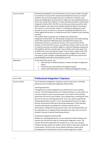| Course content: | Professional Integration is the third domain of your master studies: through<br>its connection to your artistic educational development and your research<br>activities, this part of the programme aims to help you to become a pro-<br>active and independent musician able to shape your own professional future.<br>At the core stands the invitation to create, develop and realise a Professional<br>Integration Activity (PIA). The PIA is an activity you initiate yourself (or with<br>fellow students), and needs to be realised outside the Royal Conservatoire.<br>This can be in a social context and/or in a professional setting you create<br>yourself. It can be an event or a concert or something that blossoms in an<br>online digital environment. It is likely that your PIA is related to your teaching<br>activities.<br>This module seeks to prepare you to design your Professional<br>Integration Activity (PIA). You will develop competencies and understanding<br>of the skills required to effectively plan and implement projects and<br>performance events in a variety of contexts. The course consists of five<br>seminars. At the end of this course, you will have written a plan for your PIA.<br>In these five seminars you will be taught to create the following components<br>that together will form a project plan: how to define and create value, how<br>to define short term and long-term goals, how to make a project brief, how<br>to make a product-based planning, how to make a budget, how to make a<br>risk analysis, how to design a prototype/pilot for the PIA and a test for this<br>prototype/pilot and how to communicate your PIA. |
|-----------------|--------------------------------------------------------------------------------------------------------------------------------------------------------------------------------------------------------------------------------------------------------------------------------------------------------------------------------------------------------------------------------------------------------------------------------------------------------------------------------------------------------------------------------------------------------------------------------------------------------------------------------------------------------------------------------------------------------------------------------------------------------------------------------------------------------------------------------------------------------------------------------------------------------------------------------------------------------------------------------------------------------------------------------------------------------------------------------------------------------------------------------------------------------------------------------------------------------------------------------------------------------------------------------------------------------------------------------------------------------------------------------------------------------------------------------------------------------------------------------------------------------------------------------------------------------------------------------------------------------------------------------------------------------------------------------------------------|
| Objectives:     | At the end of this course, you:<br>demonstrate an understanding of a variety of project management<br>topics;<br>formulate your own professional integration goals;<br>create a brief description of your Professional Integration Activity.                                                                                                                                                                                                                                                                                                                                                                                                                                                                                                                                                                                                                                                                                                                                                                                                                                                                                                                                                                                                                                                                                                                                                                                                                                                                                                                                                                                                                                                     |

| Course title:   | <b>Professional Integration Trajectory</b>                                                                                                                                                                                                                                                                                                                                                                                                                                                                                                                  |
|-----------------|-------------------------------------------------------------------------------------------------------------------------------------------------------------------------------------------------------------------------------------------------------------------------------------------------------------------------------------------------------------------------------------------------------------------------------------------------------------------------------------------------------------------------------------------------------------|
| Course content: | Your Professional Integration Trajectory consist of two parts: a teaching<br>placement and a Professional Integration Activity (PIA).                                                                                                                                                                                                                                                                                                                                                                                                                       |
|                 | Teaching placement:                                                                                                                                                                                                                                                                                                                                                                                                                                                                                                                                         |
|                 | Throughout your master programme you will have your own teaching                                                                                                                                                                                                                                                                                                                                                                                                                                                                                            |
|                 | practice. This teaching placement can include teaching at a conservatoire, at<br>a (music) school or music community work. The content of this teaching<br>placement will vary for each student. If you already have a teaching job, then<br>this can be seen as a teaching placement. If not, you will be supported by<br>finding opportunities to teach. In your teaching placement you can apply<br>theories and practical skills learnt during the programme. These teaching<br>activities will also give possibilities for research activities such as |
|                 | observations, testing and tuning research tools. Your teaching activities can                                                                                                                                                                                                                                                                                                                                                                                                                                                                               |
|                 | be undertaken as an ongoing activity during the two years, but can also be<br>divided in periods of several teaching placements.                                                                                                                                                                                                                                                                                                                                                                                                                            |
|                 | Professional Integration Activity (PIA):                                                                                                                                                                                                                                                                                                                                                                                                                                                                                                                    |
|                 | Besides your teaching placement, you are required to further develop and<br>execute your PIA with the help of a professional integration coach. The                                                                                                                                                                                                                                                                                                                                                                                                         |
|                 | content of the PIA is defined by the student but is in any case a project,                                                                                                                                                                                                                                                                                                                                                                                                                                                                                  |
|                 | initiated and executed by the student, which needs to take place outside the<br>conservatoire. The PIA is part of your Master Education Project which                                                                                                                                                                                                                                                                                                                                                                                                       |
|                 | encompasses the three domains of your master programme: artistic                                                                                                                                                                                                                                                                                                                                                                                                                                                                                            |